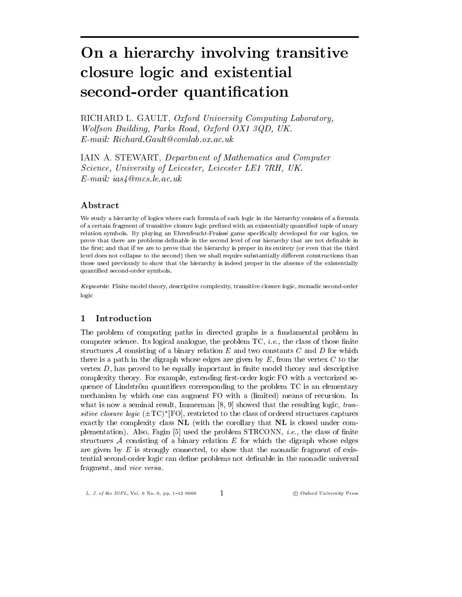RICHARD L. GAULT, Oxford University Computing Laboratory. Wolfson Building, Parks Road, Oxford OX1 3QD, UK.  $E$ -mail: Richard. Gault@comlab. ox. ac. uk

IAIN A. STEWART, Department of Mathematics and Computer Science, University of Leicester, Leicester LE1 7RH, UK.  $E$ -mail: ias $\measuredangle$  @mcs.le.ac.uk

## ${\bf Abstract}$

We study a hierarchy of logics where each formula of each logic in the hierarchy consists of a formula of a certain fragment of transitive closure logic prefixed with an existentially quantified tuple of unary relation symbols. By playing an Ehrenfeucht-Fraissé game specifically developed for our logics, we prove that there are problems definable in the second level of our hierarchy that are not definable in the first; and that if we are to prove that the hierarchy is proper in its entirety (or even that the third level does not collapse to the second) then we shall require substantially different constructions than those used previously to show that the hierarchy is indeed proper in the absence of the existentially quantified second-order symbols.

Keywords: Finite model theory, descriptive complexity, transitive closure logic, monadic second-order logic

#### Introduction  $\mathbf{1}$

The problem of computing paths in directed graphs is a fundamental problem in computer science. Its logical analogue, the problem  $TC$ , *i.e.*, the class of those finite structures  $A$  consisting of a binary relation  $E$  and two constants  $C$  and  $D$  for which there is a path in the digraph whose edges are given by  $E$ , from the vertex  $C$  to the vertex  $D$ , has proved to be equally important in finite model theory and descriptive complexity theory. For example, extending first-order logic FO with a vectorized sequence of Lindström quantifiers corresponding to the problem TC is an elementary mechanism by which one can augment FO with a (limited) means of recursion. In what is now a seminal result, Immerman  $[8, 9]$  showed that the resulting logic, transitive closure logic  $(\pm T C)^*$  [FO], restricted to the class of ordered structures captures exactly the complexity class NL (with the corollary that NL is closed under complementation). Also, Fagin [5] used the problem  $STRCONN$ , *i.e.*, the class of finite structures A consisting of a binary relation  $E$  for which the digraph whose edges are given by  $E$  is strongly connected, to show that the monadic fragment of existential second-order logic can define problems not definable in the monadic universal fragment, and vice versa.

 $\mathbf{1}$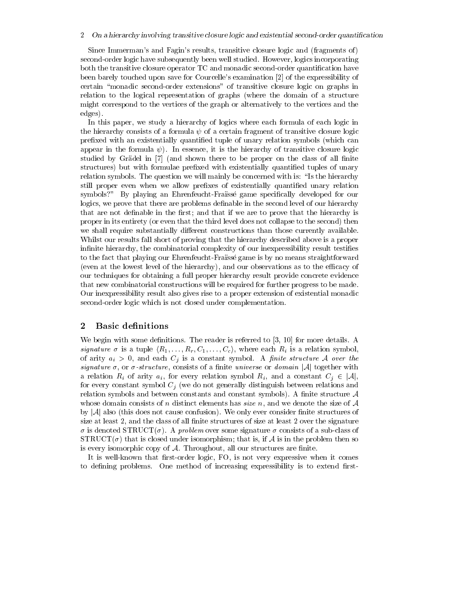Since Immerman's and Fagin's results, transitive closure logic and (fragments of) second-order logic have subsequently been well studied. However, logics incorporating both the transitive closure operator TC and monadic second-order quantification have been barely touched upon save for Courcelle's examination [2] of the expressibility of certain "monadic second-order extensions" of transitive closure logic on graphs in relation to the logical representation of graphs (where the domain of a structure might correspond to the vertices of the graph or alternatively to the vertices and the edges).

In this paper, we study a hierarchy of logics where each formula of each logic in the hierarchy consists of a formula  $\psi$  of a certain fragment of transitive closure logic prefixed with an existentially quantified tuple of unary relation symbols (which can appear in the formula  $\psi$ ). In essence, it is the hierarchy of transitive closure logic studied by Grädel in [7] (and shown there to be proper on the class of all finite structures) but with formulae prefixed with existentially quantified tuples of unary relation symbols. The question we will mainly be concerned with is: "Is the hierarchy still proper even when we allow prefixes of existentially quantified unary relation symbols?" By playing an Ehrenfeucht-Fraïssé game specifically developed for our logics, we prove that there are problems definable in the second level of our hierarchy that are not definable in the first; and that if we are to prove that the hierarchy is proper in its entirety (or even that the third level does not collapse to the second) then we shall require substantially different constructions than those currently available. Whilst our results fall short of proving that the hierarchy described above is a proper infinite hierarchy, the combinatorial complexity of our inexpressibility result testifies to the fact that playing our Ehrenfeucht-Fraïssé game is by no means straightforward (even at the lowest level of the hierarchy), and our observations as to the efficacy of our techniques for obtaining a full proper hierarchy result provide concrete evidence that new combinatorial constructions will be required for further progress to be made. Our inexpressibility result also gives rise to a proper extension of existential monadic second-order logic which is not closed under complementation.

#### $\bf{2}$ **Basic definitions**

We begin with some definitions. The reader is referred to  $[3, 10]$  for more details. A signature  $\sigma$  is a tuple  $(R_1, \ldots, R_r, C_1, \ldots, C_c)$ , where each  $R_i$  is a relation symbol, of arity  $a_i > 0$ , and each  $C_j$  is a constant symbol. A finite structure A over the *signature*  $\sigma$ , or  $\sigma$ -structure, consists of a finite universe or domain |A| together with a relation  $R_i$  of arity  $a_i$ , for every relation symbol  $R_i$ , and a constant  $C_j \in |\mathcal{A}|$ , for every constant symbol  $C_j$  (we do not generally distinguish between relations and relation symbols and between constants and constant symbols). A finite structure  $A$ whose domain consists of n distinct elements has *size* n, and we denote the size of  $A$ by  $|\mathcal{A}|$  also (this does not cause confusion). We only ever consider finite structures of size at least 2, and the class of all finite structures of size at least 2 over the signature  $\sigma$  is denoted STRUCT( $\sigma$ ). A problem over some signature  $\sigma$  consists of a sub-class of  $\text{STRUCT}(\sigma)$  that is closed under isomorphism; that is, if A is in the problem then so is every isomorphic copy of  $A$ . Throughout, all our structures are finite.

It is well-known that first-order logic, FO, is not very expressive when it comes to defining problems. One method of increasing expressibility is to extend first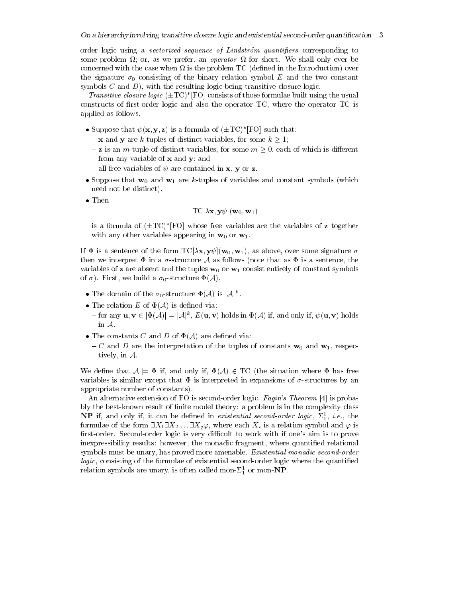order logic using a vectorized sequence of Lindström quantifiers corresponding to some problem  $\Omega$ ; or, as we prefer, an *operator*  $\Omega$  for short. We shall only ever be concerned with the case when  $\Omega$  is the problem TC (defined in the Introduction) over the signature  $\sigma_0$  consisting of the binary relation symbol E and the two constant symbols  $C$  and  $D$ ), with the resulting logic being transitive closure logic.

*Transitive closure logic*  $(\pm T C)^*$  [FO] consists of those formulae built using the usual constructs of first-order logic and also the operator TC, where the operator TC is applied as follows.

- Suppose that  $\psi(\mathbf{x}, \mathbf{y}, \mathbf{z})$  is a formula of  $(\pm \text{TC})^*$  [FO] such that:
	- $-\mathbf{x}$  and y are k-tuples of distinct variables, for some  $k \geq 1$ ;
	- $-z$  is an *m*-tuple of distinct variables, for some  $m \geq 0$ , each of which is different from any variable of  $x$  and  $y$ ; and
	- all free variables of  $\psi$  are contained in **x**, **y** or **z**.
- Suppose that  $\mathbf{w}_0$  and  $\mathbf{w}_1$  are k-tuples of variables and constant symbols (which need not be distinct).
- $\bullet$  Then

$$
\Gamma\mathrm{C}[\lambda \mathbf{x}, \mathbf{y}\psi](\mathbf{w}_0, \mathbf{w}_1)
$$

is a formula of  $(\pm T C)^*$  FO whose free variables are the variables of z together with any other variables appearing in  $w_0$  or  $w_1$ .

If  $\Phi$  is a sentence of the form  $TC[\lambda x, y\psi](w_0, w_1)$ , as above, over some signature  $\sigma$ then we interpret  $\Phi$  in a  $\sigma$ -structure A as follows (note that as  $\Phi$  is a sentence, the variables of **z** are absent and the tuples  $\mathbf{w}_0$  or  $\mathbf{w}_1$  consist entirely of constant symbols of  $\sigma$ ). First, we build a  $\sigma_0$ -structure  $\Phi(\mathcal{A})$ .

- The domain of the  $\sigma_0$ -structure  $\Phi(\mathcal{A})$  is  $|\mathcal{A}|^k$ .
- The relation E of  $\Phi(\mathcal{A})$  is defined via:
- $-$  for any  $\mathbf{u}, \mathbf{v} \in [\Phi(\mathcal{A})] = |\mathcal{A}|^k$ ,  $E(\mathbf{u}, \mathbf{v})$  holds in  $\Phi(\mathcal{A})$  if, and only if,  $\psi(\mathbf{u}, \mathbf{v})$  holds in  $\mathcal{A}$ .
- The constants C and D of  $\Phi(\mathcal{A})$  are defined via:
	- $-C$  and D are the interpretation of the tuples of constants  $w_0$  and  $w_1$ , respectively, in  $A$ .

We define that  $A \models \Phi$  if, and only if,  $\Phi(A) \in TC$  (the situation where  $\Phi$  has free variables is similar except that  $\Phi$  is interpreted in expansions of  $\sigma$ -structures by an appropriate number of constants).

An alternative extension of FO is second-order logic. Fagin's Theorem [4] is probably the best-known result of finite model theory: a problem is in the complexity class **NP** if, and only if, it can be defined in *existential second-order logic*,  $\Sigma_1^1$ , *i.e.*, the formulae of the form  $\exists X_1 \exists X_2 \dots \exists X_q \varphi$ , where each  $X_i$  is a relation symbol and  $\varphi$  is first-order. Second-order logic is very difficult to work with if one's aim is to prove inexpressibility results: however, the monadic fragment, where quantified relational symbols must be unary, has proved more amenable. Existential monadic second-order *logic*, consisting of the formulae of existential second-order logic where the quantified relation symbols are unary, is often called mon- $\Sigma_1^1$  or mon-NP.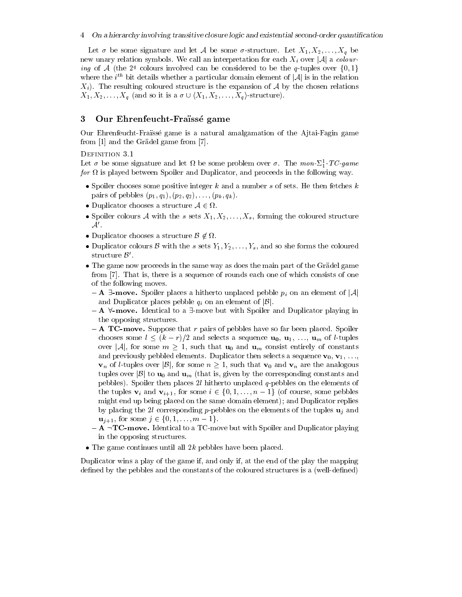Let  $\sigma$  be some signature and let A be some  $\sigma$ -structure. Let  $X_1, X_2, \ldots, X_q$  be new unary relation symbols. We call an interpretation for each  $X_i$  over |A| a colouring of A (the 2<sup>q</sup> colours involved can be considered to be the q-tuples over  $\{0,1\}$ ) where the *i*<sup>th</sup> bit details whether a particular domain element of  $|A|$  is in the relation  $X_i$ ). The resulting coloured structure is the expansion of A by the chosen relations  $X_1, X_2, \ldots, X_q$  (and so it is a  $\sigma \cup \langle X_1, X_2, \ldots, X_q \rangle$ -structure).

#### Our Ehrenfeucht-Fraïssé game 3

Our Ehrenfeucht-Fraïssé game is a natural amalgamation of the Ajtai-Fagin game from [1] and the Grädel game from [7].

## DEFINITION 3.1

Let  $\sigma$  be some signature and let  $\Omega$  be some problem over  $\sigma$ . The mon- $\Sigma_1^1$ -TC-game for  $\Omega$  is played between Spoiler and Duplicator, and proceeds in the following way.

- Spoiler chooses some positive integer  $k$  and a number  $s$  of sets. He then fetches  $k$ pairs of pebbles  $(p_1, q_1), (p_2, q_2), \ldots, (p_k, q_k)$ .
- Duplicator chooses a structure  $A \in \Omega$ .
- Spoiler colours A with the s sets  $X_1, X_2, \ldots, X_s$ , forming the coloured structure  $\mathcal{A}'$
- Duplicator chooses a structure  $\mathcal{B} \notin \Omega$ .
- Duplicator colours B with the s sets  $Y_1, Y_2, \ldots, Y_s$ , and so she forms the coloured structure  $\mathcal{B}'$ .
- The game now proceeds in the same way as does the main part of the Grädel game from [7]. That is, there is a sequence of rounds each one of which consists of one of the following moves.
	- $-$  **A**  $\exists$ -**move.** Spoiler places a hitherto unplaced pebble  $p_i$  on an element of  $|\mathcal{A}|$ and Duplicator places pebble  $q_i$  on an element of  $|\mathcal{B}|$ .
	- $-$  **A**  $\forall$ -**move.** Identical to a  $\exists$ -move but with Spoiler and Duplicator playing in the opposing structures.
	- $-$  **A TC-move.** Suppose that r pairs of pebbles have so far been placed. Spoiler chooses some  $l \leq (k-r)/2$  and selects a sequence  $\mathbf{u_0}, \mathbf{u_1}, \ldots, \mathbf{u_m}$  of *l*-tuples over |A|, for some  $m \geq 1$ , such that  $\mathbf{u}_0$  and  $\mathbf{u}_m$  consist entirely of constants and previously pebbled elements. Duplicator then selects a sequence  $\mathbf{v}_0, \mathbf{v}_1, \ldots,$  $\mathbf{v}_n$  of *l*-tuples over  $|\mathcal{B}|$ , for some  $n \geq 1$ , such that  $\mathbf{v}_0$  and  $\mathbf{v}_n$  are the analogous tuples over  $|\mathcal{B}|$  to  $\mathbf{u}_0$  and  $\mathbf{u}_m$  (that is, given by the corresponding constants and pebbles). Spoiler then places 2l hitherto unplaced  $q$ -pebbles on the elements of the tuples  $\mathbf{v}_i$  and  $\mathbf{v}_{i+1}$ , for some  $i \in \{0,1,\ldots,n-1\}$  (of course, some pebbles might end up being placed on the same domain element); and Duplicator replies by placing the 2l corresponding p-pebbles on the elements of the tuples  $\mathbf{u}_i$  and  $\mathbf{u}_{j+1}$ , for some  $j \in \{0, 1, ..., m-1\}$ .
	- $-$  A  $\neg$ **TC-move.** Identical to a TC-move but with Spoiler and Duplicator playing in the opposing structures.
- The game continues until all  $2k$  pebbles have been placed.

Duplicator wins a play of the game if, and only if, at the end of the play the mapping defined by the pebbles and the constants of the coloured structures is a (well-defined)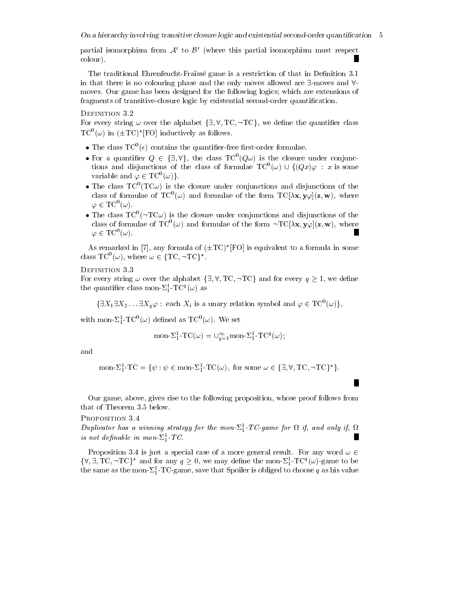partial isomorphism from  $A'$  to  $B'$  (where this partial isomorphism must respect colour).

The traditional Ehrenfeucht-Fraïssé game is a restriction of that in Definition 3.1 in that there is no colouring phase and the only moves allowed are  $\exists$ -moves and  $\forall$ moves. Our game has been designed for the following logics; which are extensions of fragments of transitive-closure logic by existential second-order quantification.

## DEFINITION 3.2

For every string  $\omega$  over the alphabet  $\{\exists, \forall, TC, \neg TC\}$ , we define the quantifier class  $TC^{0}(\omega)$  in  $(\pm TC)^*[FO]$  inductively as follows.

- The class  $TC^0(\epsilon)$  contains the quantifier-free first-order formulae.
- For a quantifier  $Q \in {\exists, \forall}$ , the class  $TC^{0}(Q\omega)$  is the closure under conjunctions and disjunctions of the class of formulae  $TC^{0}(\omega) \cup \{(Qx)\varphi : x \text{ is some}\}$ variable and  $\varphi \in TC^0(\omega)$ .
- The class  $TC^{0}(TC\omega)$  is the closure under conjunctions and disjunctions of the class of formulae of  $TC^0(\omega)$  and formulae of the form  $TC[\lambda x, y\varphi](z, w)$ , where  $\varphi \in \mathrm{TC}^0(\omega)$ .
- The class  $TC^0(\neg TC\omega)$  is the closure under conjunctions and disjunctions of the class of formulae of  $TC^0(\omega)$  and formulae of the form  $\neg TC[\lambda \mathbf{x}, \mathbf{y}\varphi](\mathbf{z}, \mathbf{w})$ , where  $\varphi \in \mathrm{TC}^0(\omega)$ .

As remarked in [7], any formula of  $(\pm TC)^*[FO]$  is equivalent to a formula in some class  $TC^0(\omega)$ , where  $\omega \in \{TC, \neg TC\}^*$ .

## DEFINITION 3.3

For every string  $\omega$  over the alphabet  $\{\exists, \forall, TC, \neg TC\}$  and for every  $q \geq 1$ , we define the quantifier class mon- $\Sigma_1^1$ -TC<sup>q</sup>( $\omega$ ) as

 $\{\exists X_1 \exists X_2 \dots \exists X_q \varphi : \text{ each } X_i \text{ is a unary relation symbol and } \varphi \in \mathrm{TC}^0(\omega)\},\$ 

with mon- $\Sigma_1^1$ -TC<sup>0</sup>( $\omega$ ) defined as TC<sup>0</sup>( $\omega$ ). We set

$$
\text{mon-}\Sigma_1^1 \text{-}\mathrm{T}\,\mathrm{C}(\omega) = \cup_{q=1}^{\infty} \text{mon-}\Sigma_1^1 \text{-}\mathrm{T}\,\mathrm{C}^q(\omega);
$$

and

$$
\text{mon-}\Sigma_1^1 \text{-}\mathrm{TC} = \{ \psi : \psi \in \text{mon-}\Sigma_1^1 \text{-}\mathrm{TC}(\omega), \text{ for some } \omega \in \{ \exists, \forall, \mathrm{TC}, \neg \mathrm{TC} \}^* \}.
$$

Our game, above, gives rise to the following proposition, whose proof follows from that of Theorem 3.5 below.

#### PROPOSITION 3.4

Duplicator has a winning strategy for the mon- $\Sigma_1^1$ -TC-game for  $\Omega$  if, and only if,  $\Omega$ is not definable in mon- $\Sigma_1^1$ -TC.

Proposition 3.4 is just a special case of a more general result. For any word  $\omega \in$  $\{\forall,\exists,\mathrm{TC},\neg\mathrm{TC}\}^*$  and for any  $q>0$ , we may define the mon- $\Sigma_1^1$ -TC<sup>q</sup>( $\omega$ )-game to be the same as the mon- $\Sigma_1^1$ -TC-game, save that Spoiler is obliged to choose q as his value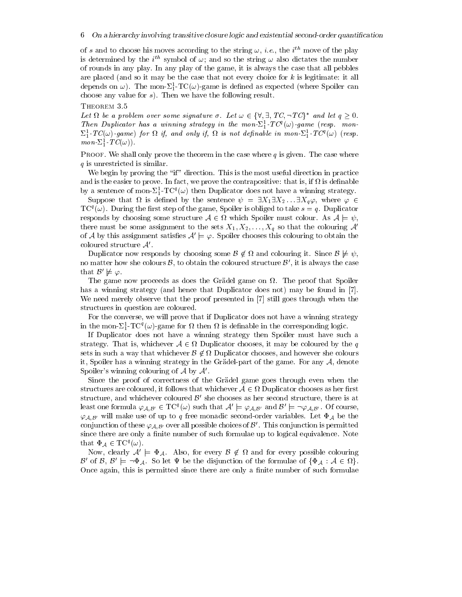of s and to choose his moves according to the string  $\omega$ , *i.e.*, the *i*<sup>th</sup> move of the play is determined by the *i*<sup>th</sup> symbol of  $\omega$ ; and so the string  $\omega$  also dictates the number of rounds in any play. In any play of the game, it is always the case that all pebbles are placed (and so it may be the case that not every choice for  $k$  is legitimate: it all depends on  $\omega$ ). The mon- $\Sigma_1^1$ -TC( $\omega$ )-game is defined as expected (where Spoiler can choose any value for  $s$ ). Then we have the following result.

THEOREM 3.5

Let  $\Omega$  be a problem over some signature  $\sigma$ . Let  $\omega \in {\forall \forall \exists, T C, \neg T C^*}^*$  and let  $q > 0$ . Then Duplicator has a winning strategy in the mon- $\Sigma_1^1$ -TC<sup>q</sup>( $\omega$ )-game (resp. mon- $\Sigma_1^1$ -TC( $\omega$ )-game) for  $\Omega$  if, and only if,  $\Omega$  is not definable in mon- $\Sigma_1^1$ -TC<sup>q</sup>( $\omega$ ) (resp.  $mon\text{-}\Sigma_1^1\text{-}TC(\omega)).$ 

**PROOF.** We shall only prove the theorem in the case where q is given. The case where  $q$  is unrestricted is similar.

We begin by proving the "if" direction. This is the most useful direction in practice and is the easier to prove. In fact, we prove the contrapositive: that is, if  $\Omega$  is definable by a sentence of mon- $\Sigma_1^1$ -TC<sup>q</sup>( $\omega$ ) then Duplicator does not have a winning strategy.

Suppose that  $\Omega$  is defined by the sentence  $\psi = \exists X_1 \exists X_2 \dots \exists X_q \varphi$ , where  $\varphi \in$  $TC^{q}(\omega)$ . During the first step of the game, Spoiler is obliged to take  $s = q$ . Duplicator responds by choosing some structure  $A \in \Omega$  which Spoiler must colour. As  $A \models \psi$ , there must be some assignment to the sets  $X_1, X_2, \ldots, X_q$  so that the colouring A' of A by this assignment satisfies  $A' \models \varphi$ . Spoiler chooses this colouring to obtain the coloured structure  $A'$ .

Duplicator now responds by choosing some  $\mathcal{B} \notin \Omega$  and colouring it. Since  $\mathcal{B} \not\models \psi$ . no matter how she colours  $\mathcal{B}$ , to obtain the coloured structure  $\mathcal{B}'$ , it is always the case that  $\mathcal{B}' \not\models \varphi$ .

The game now proceeds as does the Grädel game on  $\Omega$ . The proof that Spoiler has a winning strategy (and hence that Duplicator does not) may be found in [7]. We need merely observe that the proof presented in [7] still goes through when the structures in question are coloured.

For the converse, we will prove that if Duplicator does not have a winning strategy in the mon- $\Sigma_1^1$ -TC<sup>q</sup>( $\omega$ )-game for  $\Omega$  then  $\Omega$  is definable in the corresponding logic.

If Duplicator does not have a winning strategy then Spoiler must have such a strategy. That is, whichever  $A \in \Omega$  Duplicator chooses, it may be coloured by the q sets in such a way that whichever  $\mathcal{B} \notin \Omega$  Duplicator chooses, and however she colours it, Spoiler has a winning strategy in the Grädel-part of the game. For any  $A$ , denote Spoiler's winning colouring of  $A$  by  $A'$ .

Since the proof of correctness of the Grädel game goes through even when the structures are coloured, it follows that whichever  $A \in \Omega$  Duplicator chooses as her first structure, and whichever coloured  $\mathcal{B}'$  she chooses as her second structure, there is at least one formula  $\varphi_{A,B'} \in TC^{q}(\omega)$  such that  $A' \models \varphi_{A,B'}$  and  $B' \models \neg \varphi_{A,B'}$ . Of course,  $\varphi_{A,B'}$  will make use of up to q free monadic second-order variables. Let  $\Phi_A$  be the conjunction of these  $\varphi_{A,B'}$  over all possible choices of  $\mathcal{B}'$ . This conjunction is permitted since there are only a finite number of such formulae up to logical equivalence. Note that  $\Phi_{\mathcal{A}} \in \mathrm{TC}^q(\omega)$ .

Now, clearly  $A' \models \Phi_A$ . Also, for every  $\mathcal{B} \notin \Omega$  and for every possible colouring  $\mathcal{B}'$  of  $\mathcal{B}, \mathcal{B}' \models \neg \Phi_{\mathcal{A}}$ . So let  $\Psi$  be the disjunction of the formulae of  $\{\Phi_{\mathcal{A}} : \mathcal{A} \in \Omega\}$ . Once again, this is permitted since there are only a finite number of such formulae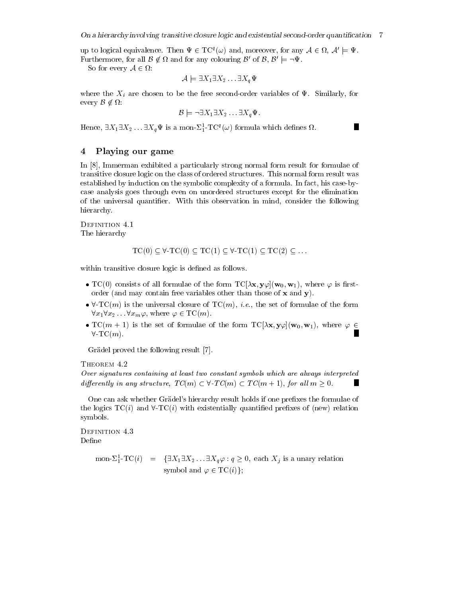up to logical equivalence. Then  $\Psi \in TC^q(\omega)$  and, moreover, for any  $A \in \Omega$ ,  $A' \models \Psi$ . Furthermore, for all  $\mathcal{B} \notin \Omega$  and for any colouring  $\mathcal{B}'$  of  $\mathcal{B}, \mathcal{B}' \models \neg \Psi$ .

So for every  $A \in \Omega$ :

$$
\mathcal{A} \models \exists X_1 \exists X_2 \dots \exists X_q \Psi
$$

where the  $X_i$  are chosen to be the free second-order variables of  $\Psi$ . Similarly, for every  $\mathcal{B} \notin \Omega$ :

$$
\mathcal{B} \models \neg \exists X_1 \exists X_2 \dots \exists X_q \Psi.
$$

Hence,  $\exists X_1 \exists X_2 \dots \exists X_q \Psi$  is a mon- $\Sigma_1^1$ -TC<sup>q</sup>( $\omega$ ) formula which defines  $\Omega$ .

#### Playing our game 4

In [8], Immerman exhibited a particularly strong normal form result for formulae of transitive closure logic on the class of ordered structures. This normal form result was established by induction on the symbolic complexity of a formula. In fact, his case-bycase analysis goes through even on unordered structures except for the elimination of the universal quantifier. With this observation in mind, consider the following hierarchy.

DEFINITION 4.1 The hierarchy

$$
TC(0) \subseteq \forall T C(0) \subseteq TC(1) \subseteq \forall T C(1) \subseteq TC(2) \subseteq \dots
$$

within transitive closure logic is defined as follows.

- TC(0) consists of all formulae of the form  $TC[\lambda x, y\varphi](w_0, w_1)$ , where  $\varphi$  is firstorder (and may contain free variables other than those of  $x$  and  $y$ ).
- $\forall$ -TC(*m*) is the universal closure of TC(*m*), *i.e.*, the set of formulae of the form  $\forall x_1 \forall x_2 \dots \forall x_m \varphi$ , where  $\varphi \in \mathrm{TC}(m)$ .
- $TC(m + 1)$  is the set of formulae of the form  $TC[\lambda x, y\varphi](w_0, w_1)$ , where  $\varphi \in$ П  $\forall$ -TC $(m)$ .

Grädel proved the following result [7].

THEOREM 4.2

Over signatures containing at least two constant symbols which are always interpreted differently in any structure,  $TC(m) \subset \forall$ -T $C(m) \subset TC(m+1)$ , for all  $m > 0$ .

One can ask whether Grädel's hierarchy result holds if one prefixes the formulae of the logics  $TC(i)$  and  $\forall$ -TC $(i)$  with existentially quantified prefixes of (new) relation symbols.

DEFINITION 4.3 Define

> mon- $\Sigma_1^1$ -TC(i) = { $\exists X_1 \exists X_2 \dots \exists X_q \varphi : q \ge 0$ , each  $X_j$  is a unary relation symbol and  $\varphi \in \mathrm{TC}(i)$ :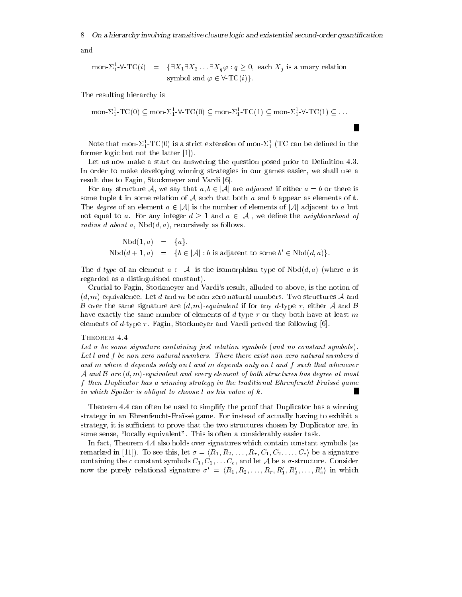and

$$
\text{mon-}\Sigma_1^1 \text{-}\forall \text{-}\mathrm{TC}(i) = \{\exists X_1 \exists X_2 \dots \exists X_q \varphi : q \ge 0, \text{ each } X_j \text{ is a unary relation}
$$
\n
$$
\text{symbol} \varphi \in \forall \text{-}\mathrm{TC}(i)\}.
$$

The resulting hierarchy is

mon- $\Sigma_1^1$ -TC(0)  $\subseteq$  mon- $\Sigma_1^1$ - $\forall$ -TC(0)  $\subseteq$  mon- $\Sigma_1^1$ -TC(1)  $\subseteq$  mon- $\Sigma_1^1$ - $\forall$ -TC(1)  $\subseteq$  ...

Note that mon- $\Sigma_1^1$ -TC(0) is a strict extension of mon- $\Sigma_1^1$  (TC can be defined in the former logic but not the latter  $[1]$ .

Let us now make a start on answering the question posed prior to Definition 4.3. In order to make developing winning strategies in our games easier, we shall use a result due to Fagin, Stockmeyer and Vardi [6].

For any structure A, we say that  $a, b \in |\mathcal{A}|$  are *adjacent* if either  $a = b$  or there is some tuple **t** in some relation of A such that both a and b appear as elements of **t**. The *degree* of an element  $a \in |\mathcal{A}|$  is the number of elements of  $|\mathcal{A}|$  adjacent to a but not equal to a. For any integer  $d \geq 1$  and  $a \in |\mathcal{A}|$ , we define the *neighbourhood* of *radius d about a,*  $Nbd(d, a)$ *, recursively as follows.* 

> $Nbd(1,a) = \{a\}.$  $Nbd(d+1, a) = \{b \in |\mathcal{A}| : b \text{ is adjacent to some } b' \in Nbd(d, a)\}.$

The *d*-type of an element  $a \in |\mathcal{A}|$  is the isomorphism type of  $Nbd(d, a)$  (where a is regarded as a distinguished constant).

Crucial to Fagin, Stockmeyer and Vardi's result, alluded to above, is the notion of  $(d, m)$ -equivalence. Let d and m be non-zero natural numbers. Two structures A and B over the same signature are  $(d, m)$ -equivalent if for any d-type  $\tau$ , either A and B have exactly the same number of elements of d-type  $\tau$  or they both have at least m elements of d-type  $\tau$ . Fagin, Stockmeyer and Vardi proved the following [6].

#### THEOREM 4.4

Let  $\sigma$  be some signature containing just relation symbols (and no constant symbols). Let l and f be non-zero natural numbers. There there exist non-zero natural numbers d and m where d depends solely on l and m depends only on l and f such that whenever A and B are  $(d,m)$ -equivalent and every element of both structures has degree at most f then Duplicator has a winning strategy in the traditional Ehrenfeucht-Fraïssé game in which Spoiler is obliged to choose l as his value of k.

Theorem 4.4 can often be used to simplify the proof that Duplicator has a winning strategy in an Ehrenfeucht-Fraissé game. For instead of actually having to exhibit a strategy, it is sufficient to prove that the two structures chosen by Duplicator are, in some sense, "locally equivalent". This is often a considerably easier task.

In fact, Theorem 4.4 also holds over signatures which contain constant symbols (as remarked in [11]). To see this, let  $\sigma = \langle R_1, R_2, \ldots, R_r, C_1, C_2, \ldots, C_c \rangle$  be a signature containing the c constant symbols  $C_1, C_2, \ldots C_c$ , and let A be a  $\sigma$ -structure. Consider now the purely relational signature  $\sigma' = \langle R_1, R_2, \ldots, R_r, R'_1, R'_2, \ldots, R'_c \rangle$  in which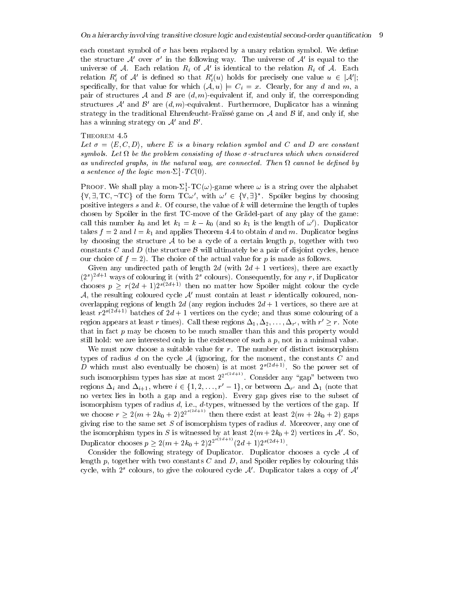each constant symbol of  $\sigma$  has been replaced by a unary relation symbol. We define the structure A' over  $\sigma'$  in the following way. The universe of A' is equal to the universe of A. Each relation  $R_i$  of A' is identical to the relation  $R_i$  of A. Each relation R', of A' is defined so that  $R'_i(u)$  holds for precisely one value  $u \in |\mathcal{A}'|$ ; specifically, for that value for which  $(A, u) \models C_i = x$ . Clearly, for any d and m, a pair of structures A and B are  $(d, m)$ -equivalent if, and only if, the corresponding structures A' and B' are  $(d, m)$ -equivalent. Furthermore, Duplicator has a winning strategy in the traditional Ehrenfeucht-Fraïssé game on  $A$  and  $B$  if, and only if, she has a winning strategy on  $A'$  and  $B'$ .

THEOREM 4.5

Let  $\sigma = \langle E, C, D \rangle$ , where E is a binary relation symbol and C and D are constant symbols. Let  $\Omega$  be the problem consisting of those  $\sigma$ -structures which when considered as undirected graphs, in the natural way, are connected. Then  $\Omega$  cannot be defined by a sentence of the logic mon- $\Sigma_1^1$ -TC(0).

**PROOF.** We shall play a mon- $\Sigma_1^1$ -TC( $\omega$ )-game where  $\omega$  is a string over the alphabet  $\{\forall,\exists,TC,\neg TC\}$  of the form  $TC\omega'$ , with  $\omega' \in \{\forall,\exists\}^*$ . Spoiler begins by choosing positive integers s and k. Of course, the value of k will determine the length of tuples chosen by Spoiler in the first TC-move of the Grädel-part of any play of the game: call this number  $k_0$  and let  $k_1 = k - k_0$  (and so  $k_1$  is the length of  $\omega'$ ). Duplicator takes  $f = 2$  and  $l = k_1$  and applies Theorem 4.4 to obtain d and m. Duplicator begins by choosing the structure A to be a cycle of a certain length  $p$ , together with two constants C and D (the structure B will ultimately be a pair of disjoint cycles, hence our choice of  $f = 2$ ). The choice of the actual value for p is made as follows.

Given any undirected path of length 2d (with  $2d + 1$  vertices), there are exactly  $(2<sup>s</sup>)<sup>2d+1</sup>$  ways of colouring it (with 2<sup>s</sup> colours). Consequently, for any r, if Duplicator chooses  $p > r(2d+1)2^{s(2d+1)}$  then no matter how Spoiler might colour the cycle  $A$ , the resulting coloured cycle  $A'$  must contain at least r identically coloured, nonoverlapping regions of length 2d (any region includes  $2d + 1$  vertices, so there are at least  $r2^{s(2d+1)}$  batches of  $2d+1$  vertices on the cycle; and thus some colouring of a region appears at least r times). Call these regions  $\Delta_1, \Delta_2, \ldots, \Delta_{r'}$ , with  $r' \geq r$ . Note that in fact  $p$  may be chosen to be much smaller than this and this property would still hold: we are interested only in the existence of such a  $p$ , not in a minimal value.

We must now choose a suitable value for  $r$ . The number of distinct isomorphism types of radius d on the cycle  $A$  (ignoring, for the moment, the constants C and D which must also eventually be chosen) is at most  $2^{s(2d+1)}$ . So the power set of such isomorphism types has size at most  $2^{2^{s(2d+1)}}$ . Consider any "gap" between two regions  $\Delta_i$  and  $\Delta_{i+1}$ , where  $i \in \{1, 2, ..., r-1\}$ , or between  $\Delta_{r'}$  and  $\Delta_1$  (note that no vertex lies in both a gap and a region). Every gap gives rise to the subset of isomorphism types of radius  $d$ , i.e.,  $d$ -types, witnessed by the vertices of the gap. If we choose  $r \geq 2(m + 2k_0 + 2)2^{2^{s(2d+1)}}$  then there exist at least  $2(m + 2k_0 + 2)$  gaps giving rise to the same set  $S$  of isomorphism types of radius  $d$ . Moreover, any one of the isomorphism types in S is witnessed by at least  $2(m + 2k_0 + 2)$  vertices in A'. So,<br>Duplicator chooses  $p \ge 2(m + 2k_0 + 2)2^{2^{s(2d+1)}}(2d+1)2^{s(2d+1)}$ .

Consider the following strategy of Duplicator. Duplicator chooses a cycle  $A$  of length  $p$ , together with two constants C and D, and Spoiler replies by colouring this cycle, with  $2^s$  colours, to give the coloured cycle A'. Duplicator takes a copy of A'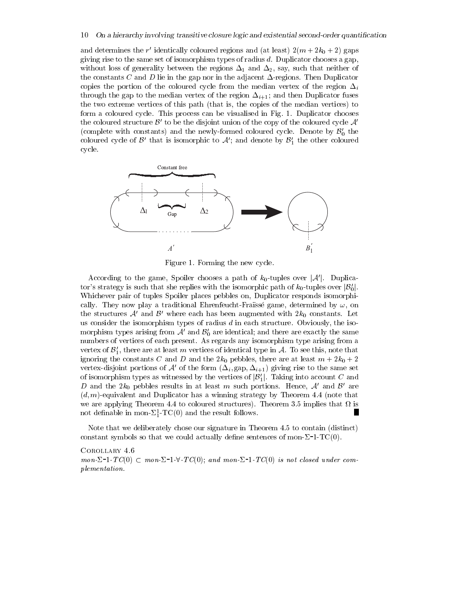and determines the r' identically coloured regions and (at least)  $2(m + 2k_0 + 2)$  gaps giving rise to the same set of isomorphism types of radius  $d$ . Duplicator chooses a gap, without loss of generality between the regions  $\Delta_1$  and  $\Delta_2$ , say, such that neither of the constants C and D lie in the gap nor in the adjacent  $\Delta$ -regions. Then Duplicator copies the portion of the coloured cycle from the median vertex of the region  $\Delta_i$ through the gap to the median vertex of the region  $\Delta_{i+1}$ ; and then Duplicator fuses the two extreme vertices of this path (that is, the copies of the median vertices) to form a coloured cycle. This process can be visualised in Fig. 1. Duplicator chooses the coloured structure  $\mathcal{B}'$  to be the disjoint union of the copy of the coloured cycle  $\mathcal{A}'$ (complete with constants) and the newly-formed coloured cycle. Denote by  $\mathcal{B}'_0$  the coloured cycle of  $\mathcal{B}'$  that is isomorphic to  $\mathcal{A}'$ ; and denote by  $\mathcal{B}'_1$  the other coloured cycle.



Figure 1. Forming the new cycle.

According to the game, Spoiler chooses a path of  $k_0$ -tuples over  $|\mathcal{A}'|$ . Duplicator's strategy is such that she replies with the isomorphic path of  $k_0$ -tuples over  $|\mathcal{B}'_0|$ . Whichever pair of tuples Spoiler places pebbles on, Duplicator responds isomorphically. They now play a traditional Ehrenfeucht-Fraïssé game, determined by  $\omega$ , on the structures  $A'$  and  $B'$  where each has been augmented with  $2k_0$  constants. Let us consider the isomorphism types of radius  $d$  in each structure. Obviously, the isomorphism types arising from  $A'$  and  $B'_0$  are identical; and there are exactly the same numbers of vertices of each present. As regards any isomorphism type arising from a vertex of  $\mathcal{B}'_1$ , there are at least m vertices of identical type in A. To see this, note that ignoring the constants C and D and the  $2k_0$  pebbles, there are at least  $m+2k_0+2$ vertex-disjoint portions of A' of the form  $(\Delta_i, \text{gap}, \Delta_{i+1})$  giving rise to the same set of isomorphism types as witnessed by the vertices of  $|\mathcal{B}'_1|$ . Taking into account C and D and the  $2k_0$  pebbles results in at least m such portions. Hence, A' and B' are  $(d, m)$ -equivalent and Duplicator has a winning strategy by Theorem 4.4 (note that we are applying Theorem 4.4 to coloured structures). Theorem 3.5 implies that  $\Omega$  is **I** not definable in mon- $\Sigma_1^1$ -TC(0) and the result follows.

Note that we deliberately chose our signature in Theorem 4.5 to contain (distinct) constant symbols so that we could actually define sentences of mon- $\Sigma$ -1-TC(0).

COROLLARY 4.6  $mon\text{-}\Sigma$ -1-TC(0)  $\subset$  mon- $\Sigma$ -1- $\forall$ -TC(0); and mon- $\Sigma$ -1-TC(0) is not closed under com*plementation.*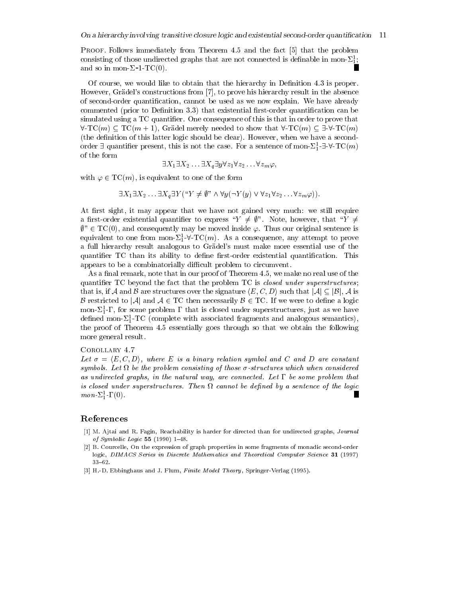PROOF. Follows immediately from Theorem 4.5 and the fact [5] that the problem consisting of those undirected graphs that are not connected is definable in mon- $\Sigma_1^1$ ; and so in mon- $\Sigma$ -1-TC(0).

Of course, we would like to obtain that the hierarchy in Definition 4.3 is proper. However, Grädel's constructions from [7], to prove his hierarchy result in the absence of second-order quantification, cannot be used as we now explain. We have already commented (prior to Definition 3.3) that existential first-order quantification can be simulated using a TC quantifier. One consequence of this is that in order to prove that  $\forall$ -TC(m)  $\subset$  TC(m+1), Grädel merely needed to show that  $\forall$ -TC(m)  $\subset \exists$ - $\forall$ -TC(m) (the definition of this latter logic should be clear). However, when we have a secondorder  $\exists$  quantifier present, this is not the case. For a sentence of mon- $\Sigma_1^1$ - $\exists$ - $\forall$ - $TC(m)$ of the form

$$
\exists X_1 \exists X_2 \ldots \exists X_q \exists y \forall z_1 \forall z_2 \ldots \forall z_m \varphi,
$$

with  $\varphi \in TC(m)$ , is equivalent to one of the form

 $\exists X_1 \exists X_2 \dots \exists X_q \exists Y ("Y \neq \emptyset" \land \forall y (\neg Y(y) \lor \forall z_1 \forall z_2 \dots \forall z_m \varphi)).$ 

At first sight, it may appear that we have not gained very much: we still require a first-order existential quantifier to express " $Y \neq \emptyset$ ". Note, however, that " $Y \neq$  $\emptyset$ "  $\in$  TC(0), and consequently may be moved inside  $\varphi$ . Thus our original sentence is equivalent to one from mon- $\Sigma_1^1$ - $\forall$ -TC(m). As a consequence, any attempt to prove a full hierarchy result analogous to Grädel's must make more essential use of the quantifier TC than its ability to define first-order existential quantification. This appears to be a combinatorially difficult problem to circumvent.

As a final remark, note that in our proof of Theorem 4.5, we make no real use of the quantifier TC beyond the fact that the problem TC is *closed under superstructures*; that is, if A and B are structures over the signature  $\langle E, C, D \rangle$  such that  $|\mathcal{A}| \subseteq |\mathcal{B}|$ , A is B restricted to |A| and  $A \in TC$  then necessarily  $B \in TC$ . If we were to define a logic mon- $\Sigma_1^1$ - $\Gamma$ , for some problem  $\Gamma$  that is closed under superstructures, just as we have defined mon- $\Sigma_1^1$ -TC (complete with associated fragments and analogous semantics), the proof of Theorem 4.5 essentially goes through so that we obtain the following more general result.

#### COROLLARY 4.7

Let  $\sigma = \langle E, C, D \rangle$ , where E is a binary relation symbol and C and D are constant symbols. Let  $\Omega$  be the problem consisting of those  $\sigma$ -structures which when considered as undirected graphs, in the natural way, are connected. Let  $\Gamma$  be some problem that is closed under superstructures. Then  $\Omega$  cannot be defined by a sentence of the logic  $mon \Sigma^1_1 \Gamma(0)$ .

# References

- [1] M. Ajtai and R. Fagin, Reachability is harder for directed than for undirected graphs, Journal of Symbolic Logic 55 (1990)  $1-48$ .
- [2] B. Courcelle, On the expression of graph properties in some fragments of monadic second-order logic, DIMACS Series in Discrete Mathematics and Theoretical Computer Science 31 (1997)  $33 - 62$
- [3] H.-D. Ebbinghaus and J. Flum, Finite Model Theory, Springer-Verlag (1995).